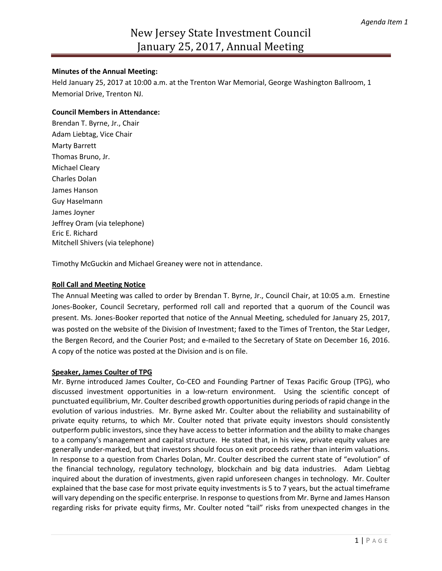## **Minutes of the Annual Meeting:**

Held January 25, 2017 at 10:00 a.m. at the Trenton War Memorial, George Washington Ballroom, 1 Memorial Drive, Trenton NJ.

# **Council Members in Attendance:**

Brendan T. Byrne, Jr., Chair Adam Liebtag, Vice Chair Marty Barrett Thomas Bruno, Jr. Michael Cleary Charles Dolan James Hanson Guy Haselmann James Joyner Jeffrey Oram (via telephone) Eric E. Richard Mitchell Shivers (via telephone)

Timothy McGuckin and Michael Greaney were not in attendance.

## **Roll Call and Meeting Notice**

The Annual Meeting was called to order by Brendan T. Byrne, Jr., Council Chair, at 10:05 a.m. Ernestine Jones-Booker, Council Secretary, performed roll call and reported that a quorum of the Council was present. Ms. Jones-Booker reported that notice of the Annual Meeting, scheduled for January 25, 2017, was posted on the website of the Division of Investment; faxed to the Times of Trenton, the Star Ledger, the Bergen Record, and the Courier Post; and e-mailed to the Secretary of State on December 16, 2016. A copy of the notice was posted at the Division and is on file.

#### **Speaker, James Coulter of TPG**

Mr. Byrne introduced James Coulter, Co-CEO and Founding Partner of Texas Pacific Group (TPG), who discussed investment opportunities in a low-return environment. Using the scientific concept of punctuated equilibrium, Mr. Coulter described growth opportunities during periods of rapid change in the evolution of various industries. Mr. Byrne asked Mr. Coulter about the reliability and sustainability of private equity returns, to which Mr. Coulter noted that private equity investors should consistently outperform public investors, since they have access to better information and the ability to make changes to a company's management and capital structure. He stated that, in his view, private equity values are generally under-marked, but that investors should focus on exit proceeds rather than interim valuations. In response to a question from Charles Dolan, Mr. Coulter described the current state of "evolution" of the financial technology, regulatory technology, blockchain and big data industries. Adam Liebtag inquired about the duration of investments, given rapid unforeseen changes in technology. Mr. Coulter explained that the base case for most private equity investments is 5 to 7 years, but the actual timeframe will vary depending on the specific enterprise. In response to questions from Mr. Byrne and James Hanson regarding risks for private equity firms, Mr. Coulter noted "tail" risks from unexpected changes in the